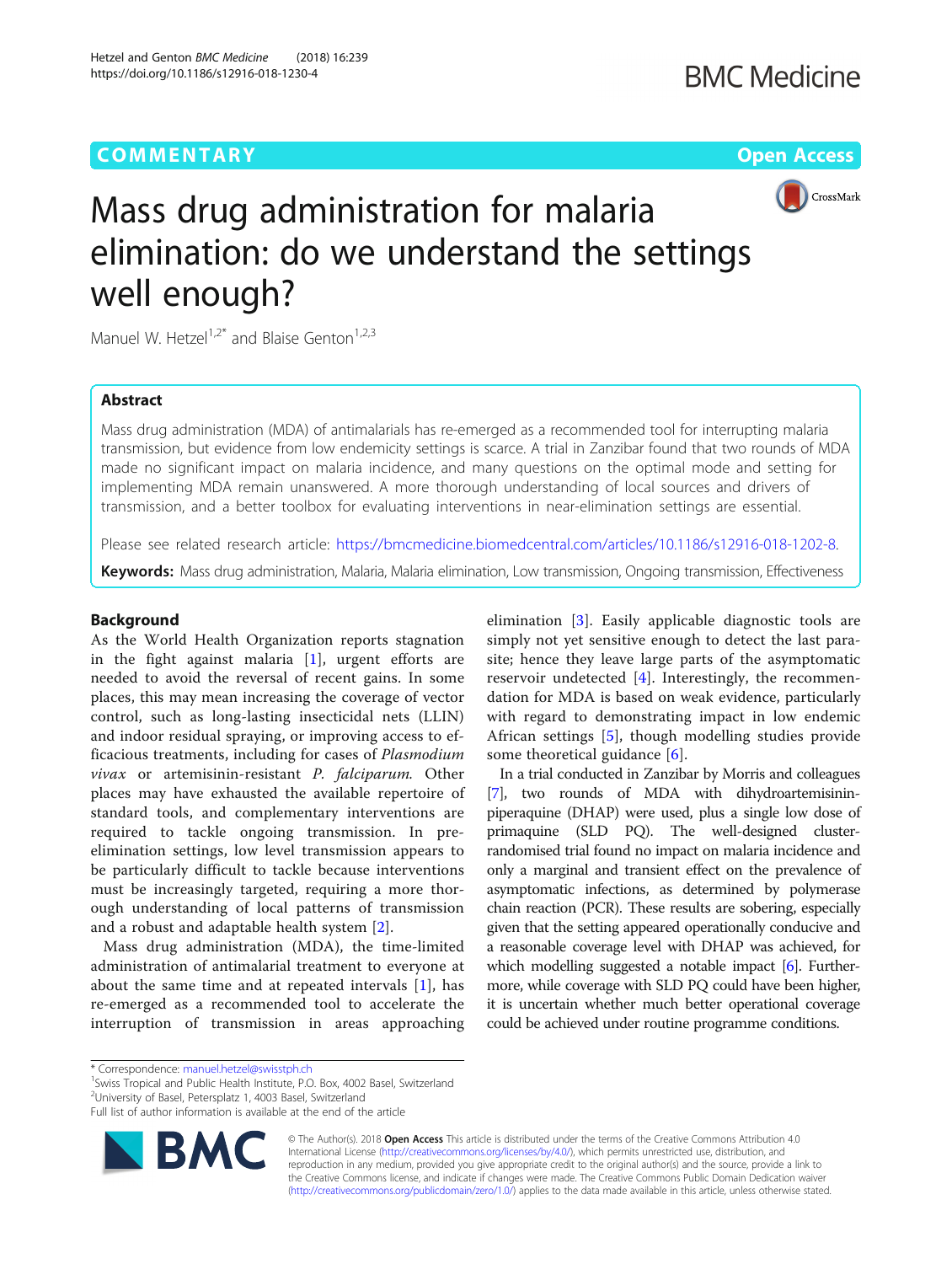# **COMMENTARY** COMMENTARY **COMMENTARY**



# Mass drug administration for malaria elimination: do we understand the settings well enough?

Manuel W. Hetzel<sup>1,2\*</sup> and Blaise Genton<sup>1,2,3</sup>

## Abstract

Mass drug administration (MDA) of antimalarials has re-emerged as a recommended tool for interrupting malaria transmission, but evidence from low endemicity settings is scarce. A trial in Zanzibar found that two rounds of MDA made no significant impact on malaria incidence, and many questions on the optimal mode and setting for implementing MDA remain unanswered. A more thorough understanding of local sources and drivers of transmission, and a better toolbox for evaluating interventions in near-elimination settings are essential.

Please see related research article: <https://bmcmedicine.biomedcentral.com/articles/10.1186/s12916-018-1202-8>.

Keywords: Mass drug administration, Malaria, Malaria elimination, Low transmission, Ongoing transmission, Effectiveness

### Background

As the World Health Organization reports stagnation in the fight against malaria  $[1]$  $[1]$ , urgent efforts are needed to avoid the reversal of recent gains. In some places, this may mean increasing the coverage of vector control, such as long-lasting insecticidal nets (LLIN) and indoor residual spraying, or improving access to efficacious treatments, including for cases of Plasmodium vivax or artemisinin-resistant P. falciparum. Other places may have exhausted the available repertoire of standard tools, and complementary interventions are required to tackle ongoing transmission. In preelimination settings, low level transmission appears to be particularly difficult to tackle because interventions must be increasingly targeted, requiring a more thorough understanding of local patterns of transmission and a robust and adaptable health system [[2\]](#page-1-0).

Mass drug administration (MDA), the time-limited administration of antimalarial treatment to everyone at about the same time and at repeated intervals [\[1](#page-1-0)], has re-emerged as a recommended tool to accelerate the interruption of transmission in areas approaching

elimination [[3\]](#page-1-0). Easily applicable diagnostic tools are simply not yet sensitive enough to detect the last parasite; hence they leave large parts of the asymptomatic reservoir undetected [[4\]](#page-1-0). Interestingly, the recommendation for MDA is based on weak evidence, particularly with regard to demonstrating impact in low endemic African settings [\[5](#page-1-0)], though modelling studies provide some theoretical guidance [[6\]](#page-1-0).

In a trial conducted in Zanzibar by Morris and colleagues [[7](#page-1-0)], two rounds of MDA with dihydroartemisininpiperaquine (DHAP) were used, plus a single low dose of primaquine (SLD PQ). The well-designed clusterrandomised trial found no impact on malaria incidence and only a marginal and transient effect on the prevalence of asymptomatic infections, as determined by polymerase chain reaction (PCR). These results are sobering, especially given that the setting appeared operationally conducive and a reasonable coverage level with DHAP was achieved, for which modelling suggested a notable impact [\[6\]](#page-1-0). Furthermore, while coverage with SLD PQ could have been higher, it is uncertain whether much better operational coverage could be achieved under routine programme conditions.

<sup>1</sup> Swiss Tropical and Public Health Institute, P.O. Box, 4002 Basel, Switzerland

<sup>2</sup>University of Basel, Petersplatz 1, 4003 Basel, Switzerland

Full list of author information is available at the end of the article



© The Author(s). 2018 Open Access This article is distributed under the terms of the Creative Commons Attribution 4.0 International License [\(http://creativecommons.org/licenses/by/4.0/](http://creativecommons.org/licenses/by/4.0/)), which permits unrestricted use, distribution, and reproduction in any medium, provided you give appropriate credit to the original author(s) and the source, provide a link to the Creative Commons license, and indicate if changes were made. The Creative Commons Public Domain Dedication waiver [\(http://creativecommons.org/publicdomain/zero/1.0/](http://creativecommons.org/publicdomain/zero/1.0/)) applies to the data made available in this article, unless otherwise stated.

<sup>\*</sup> Correspondence: [manuel.hetzel@swisstph.ch](mailto:manuel.hetzel@swisstph.ch) <sup>1</sup>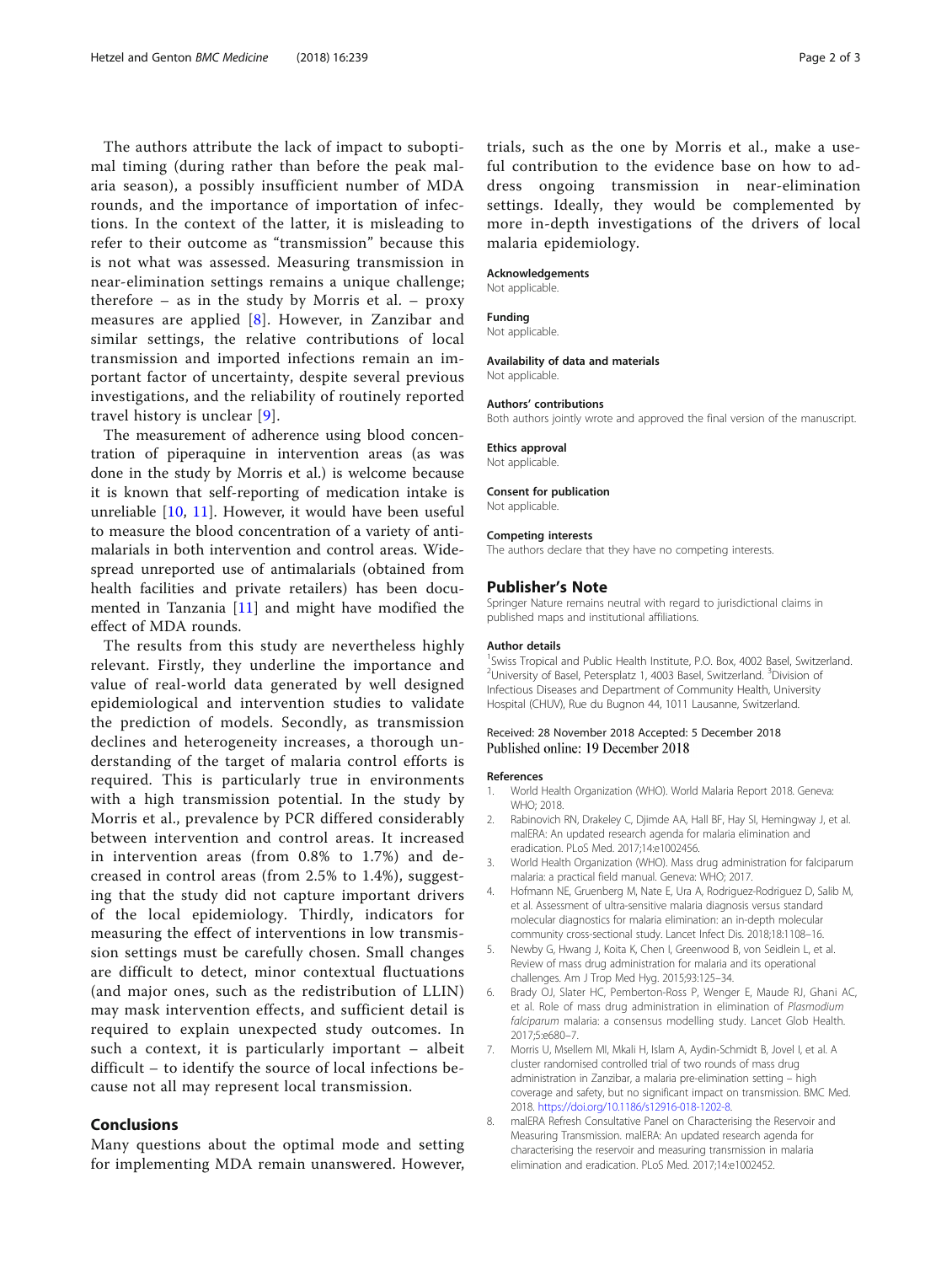<span id="page-1-0"></span>The authors attribute the lack of impact to suboptimal timing (during rather than before the peak malaria season), a possibly insufficient number of MDA rounds, and the importance of importation of infections. In the context of the latter, it is misleading to refer to their outcome as "transmission" because this is not what was assessed. Measuring transmission in near-elimination settings remains a unique challenge; therefore – as in the study by Morris et al. –  $proxy$ measures are applied [8]. However, in Zanzibar and similar settings, the relative contributions of local transmission and imported infections remain an important factor of uncertainty, despite several previous investigations, and the reliability of routinely reported travel history is unclear [[9\]](#page-2-0).

The measurement of adherence using blood concentration of piperaquine in intervention areas (as was done in the study by Morris et al.) is welcome because it is known that self-reporting of medication intake is unreliable [[10,](#page-2-0) [11\]](#page-2-0). However, it would have been useful to measure the blood concentration of a variety of antimalarials in both intervention and control areas. Widespread unreported use of antimalarials (obtained from health facilities and private retailers) has been documented in Tanzania [[11\]](#page-2-0) and might have modified the effect of MDA rounds.

The results from this study are nevertheless highly relevant. Firstly, they underline the importance and value of real-world data generated by well designed epidemiological and intervention studies to validate the prediction of models. Secondly, as transmission declines and heterogeneity increases, a thorough understanding of the target of malaria control efforts is required. This is particularly true in environments with a high transmission potential. In the study by Morris et al., prevalence by PCR differed considerably between intervention and control areas. It increased in intervention areas (from 0.8% to 1.7%) and decreased in control areas (from 2.5% to 1.4%), suggesting that the study did not capture important drivers of the local epidemiology. Thirdly, indicators for measuring the effect of interventions in low transmission settings must be carefully chosen. Small changes are difficult to detect, minor contextual fluctuations (and major ones, such as the redistribution of LLIN) may mask intervention effects, and sufficient detail is required to explain unexpected study outcomes. In such a context, it is particularly important – albeit difficult – to identify the source of local infections because not all may represent local transmission.

### Conclusions

Many questions about the optimal mode and setting for implementing MDA remain unanswered. However,

#### Acknowledgements

Not applicable.

Funding

Not applicable.

#### Availability of data and materials

Not applicable.

#### Authors' contributions

Both authors jointly wrote and approved the final version of the manuscript.

Ethics approval

Not applicable.

#### Consent for publication

Not applicable.

#### Competing interests

The authors declare that they have no competing interests.

#### Publisher's Note

Springer Nature remains neutral with regard to jurisdictional claims in published maps and institutional affiliations.

#### Author details

<sup>1</sup> Swiss Tropical and Public Health Institute, P.O. Box, 4002 Basel, Switzerland. <sup>2</sup>University of Basel, Petersplatz 1, 4003 Basel, Switzerland. <sup>3</sup>Division of Infectious Diseases and Department of Community Health, University Hospital (CHUV), Rue du Bugnon 44, 1011 Lausanne, Switzerland.

#### Received: 28 November 2018 Accepted: 5 December 2018 Published online: 19 December 2018

#### References

- 1. World Health Organization (WHO). World Malaria Report 2018. Geneva: WHO; 2018.
- 2. Rabinovich RN, Drakeley C, Djimde AA, Hall BF, Hay SI, Hemingway J, et al. malERA: An updated research agenda for malaria elimination and eradication. PLoS Med. 2017;14:e1002456.
- 3. World Health Organization (WHO). Mass drug administration for falciparum malaria: a practical field manual. Geneva: WHO; 2017.
- 4. Hofmann NE, Gruenberg M, Nate E, Ura A, Rodriguez-Rodriguez D, Salib M, et al. Assessment of ultra-sensitive malaria diagnosis versus standard molecular diagnostics for malaria elimination: an in-depth molecular community cross-sectional study. Lancet Infect Dis. 2018;18:1108–16.
- 5. Newby G, Hwang J, Koita K, Chen I, Greenwood B, von Seidlein L, et al. Review of mass drug administration for malaria and its operational challenges. Am J Trop Med Hyg. 2015;93:125–34.
- 6. Brady OJ, Slater HC, Pemberton-Ross P, Wenger E, Maude RJ, Ghani AC, et al. Role of mass drug administration in elimination of Plasmodium falciparum malaria: a consensus modelling study. Lancet Glob Health. 2017;5:e680–7.
- 7. Morris U, Msellem MI, Mkali H, Islam A, Aydin-Schmidt B, Jovel I, et al. A cluster randomised controlled trial of two rounds of mass drug administration in Zanzibar, a malaria pre-elimination setting – high coverage and safety, but no significant impact on transmission. BMC Med. 2018. <https://doi.org/10.1186/s12916-018-1202-8>.
- 8. malERA Refresh Consultative Panel on Characterising the Reservoir and Measuring Transmission. malERA: An updated research agenda for characterising the reservoir and measuring transmission in malaria elimination and eradication. PLoS Med. 2017;14:e1002452.